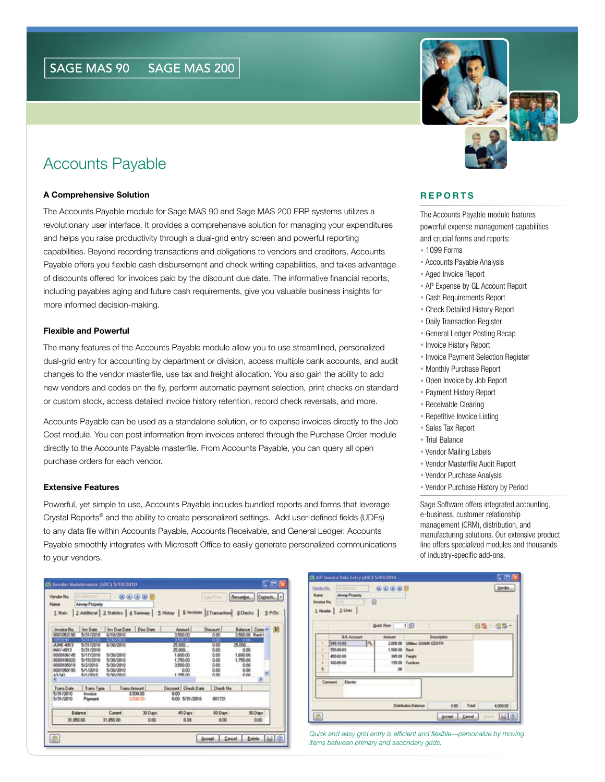# Accounts Payable

#### **A Comprehensive Solution**

The Accounts Payable module for Sage MAS 90 and Sage MAS 200 ERP systems utilizes a revolutionary user interface. It provides a comprehensive solution for managing your expenditures and helps you raise productivity through a dual-grid entry screen and powerful reporting capabilities. Beyond recording transactions and obligations to vendors and creditors, Accounts Payable offers you flexible cash disbursement and check writing capabilities, and takes advantage of discounts offered for invoices paid by the discount due date. The informative financial reports, including payables aging and future cash requirements, give you valuable business insights for more informed decision-making.

#### **Flexible and Powerful**

The many features of the Accounts Payable module allow you to use streamlined, personalized dual-grid entry for accounting by department or division, access multiple bank accounts, and audit changes to the vendor masterfile, use tax and freight allocation. You also gain the ability to add new vendors and codes on the fly, perform automatic payment selection, print checks on standard or custom stock, access detailed invoice history retention, record check reversals, and more.

Accounts Payable can be used as a standalone solution, or to expense invoices directly to the Job Cost module. You can post information from invoices entered through the Purchase Order module directly to the Accounts Payable masterfile. From Accounts Payable, you can query all open purchase orders for each vendor.

#### **Extensive Features**

Powerful, yet simple to use, Accounts Payable includes bundled reports and forms that leverage Crystal Reports® and the ability to create personalized settings. Add user-defined fields (UDFs) to any data file within Accounts Payable, Accounts Receivable, and General Ledger. Accounts Payable smoothly integrates with Microsoft Office to easily generate personalized communications to your vendors.





#### **R E P O R T S**

The Accounts Payable module features powerful expense management capabilities and crucial forms and reports:

- 1099 Forms
- Accounts Payable Analysis
- Aged Invoice Report
- AP Expense by GL Account Report
- Cash Requirements Report
- Check Detailed History Report
- Daily Transaction Register
- General Ledger Posting Recap
- Invoice History Report
- Invoice Payment Selection Register
- Monthly Purchase Report
- Open Invoice by Job Report
- Payment History Report
- Receivable Clearing
- Repetitive Invoice Listing
- Sales Tax Report
- Trial Balance
- Vendor Mailing Labels
- Vendor Masterfile Audit Report
- Vendor Purchase Analysis
- Vendor Purchase History by Period

Sage Software offers integrated accounting, e-business, customer relationship management (CRM), distribution, and manufacturing solutions. Our extensive product line offers specialized modules and thousands of industry-specific add-ons.

| Verida No.<br>Name<br>Invoice No. | <b>Ulliman Welliston</b><br><b>Armsy Property</b><br><b>B</b><br>1 Header 2 Lines | <b>80085</b>           |                                     | Vendos            |
|-----------------------------------|-----------------------------------------------------------------------------------|------------------------|-------------------------------------|-------------------|
|                                   |                                                                                   | <b>Quick Flow</b> 1 22 |                                     | 「西吸○恒吸・           |
|                                   | <b>GAL Account</b>                                                                | Anount                 | Description                         |                   |
|                                   | 19.1<br>5451040                                                                   |                        | 2:000.00 UNIMer SADAK CENTR         |                   |
| z                                 | 955-00-03                                                                         | 1,500.00               | <b>Rent</b>                         |                   |
| 3                                 | 450-02-00                                                                         | 345.00 Freight         |                                     |                   |
| z                                 | 160-00-00                                                                         |                        | 155.00 Fundure                      |                   |
| 5                                 |                                                                                   | œ                      |                                     |                   |
|                                   | <b>Dechic</b><br>Connect                                                          |                        |                                     |                   |
|                                   |                                                                                   |                        | <b>Distribution Enlance</b><br>0.00 | Total<br>4,000.00 |
|                                   |                                                                                   |                        |                                     | 国画                |

*Quick and easy grid entry is efficient and flexible—personalize by moving items between primary and secondary grids.*